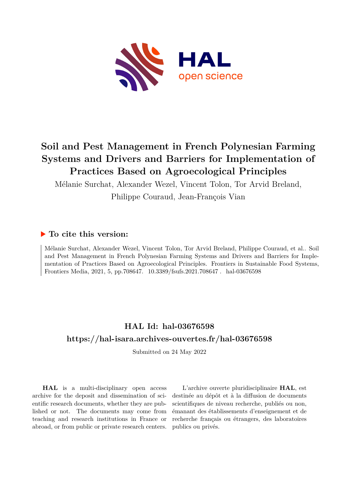

# **Soil and Pest Management in French Polynesian Farming Systems and Drivers and Barriers for Implementation of Practices Based on Agroecological Principles**

Mélanie Surchat, Alexander Wezel, Vincent Tolon, Tor Arvid Breland,

Philippe Couraud, Jean-François Vian

# **To cite this version:**

Mélanie Surchat, Alexander Wezel, Vincent Tolon, Tor Arvid Breland, Philippe Couraud, et al.. Soil and Pest Management in French Polynesian Farming Systems and Drivers and Barriers for Implementation of Practices Based on Agroecological Principles. Frontiers in Sustainable Food Systems, Frontiers Media, 2021, 5, pp.708647. 10.3389/fsufs.2021.708647. hal-03676598

# **HAL Id: hal-03676598 <https://hal-isara.archives-ouvertes.fr/hal-03676598>**

Submitted on 24 May 2022

**HAL** is a multi-disciplinary open access archive for the deposit and dissemination of scientific research documents, whether they are published or not. The documents may come from teaching and research institutions in France or abroad, or from public or private research centers.

L'archive ouverte pluridisciplinaire **HAL**, est destinée au dépôt et à la diffusion de documents scientifiques de niveau recherche, publiés ou non, émanant des établissements d'enseignement et de recherche français ou étrangers, des laboratoires publics ou privés.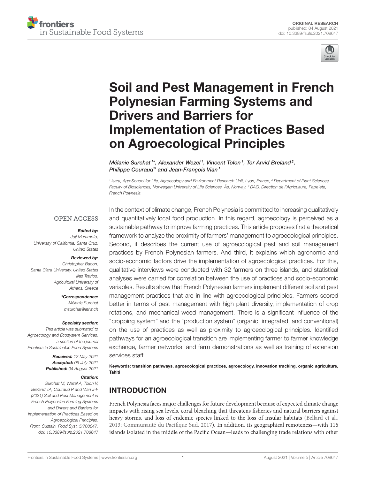



# [Soil and Pest Management in French](https://www.frontiersin.org/articles/10.3389/fsufs.2021.708647/full) Polynesian Farming Systems and Drivers and Barriers for Implementation of Practices Based on Agroecological Principles

Mélanie Surchat<sup>1\*</sup>, Alexander Wezel<sup>1</sup>, Vincent Tolon<sup>1</sup>, Tor Arvid Breland<sup>2</sup>, Philippe Couraud<sup>3</sup> and Jean-François Vian<sup>1</sup>

<sup>1</sup> Isara, AgroSchool for Life, Agroecology and Environment Research Unit, Lyon, France, <sup>2</sup> Department of Plant Sciences, Faculty of Biosciences, Norwegian University of Life Sciences, Ås, Norway, <sup>3</sup> DAG, Direction de l'Agriculture, Pape'ete, French Polynesia

#### **OPEN ACCESS**

#### Edited by:

Joji Muramoto, University of California, Santa Cruz, United States

#### Reviewed by:

Christopher Bacon, Santa Clara University, United States Ilias Travlos, Agricultural University of Athens, Greece

> \*Correspondence: Mélanie Surchat [msurchat@ethz.ch](mailto:msurchat@ethz.ch)

#### Specialty section:

This article was submitted to Agroecology and Ecosystem Services, a section of the journal Frontiers in Sustainable Food Systems

> Received: 12 May 2021 Accepted: 06 July 2021 Published: 04 August 2021

#### Citation:

Surchat M, Wezel A, Tolon V, Breland TA, Couraud P and Vian J-F (2021) Soil and Pest Management in French Polynesian Farming Systems and Drivers and Barriers for Implementation of Practices Based on Agroecological Principles. Front. Sustain. Food Syst. 5:708647. doi: [10.3389/fsufs.2021.708647](https://doi.org/10.3389/fsufs.2021.708647)

In the context of climate change, French Polynesia is committed to increasing qualitatively and quantitatively local food production. In this regard, agroecology is perceived as a sustainable pathway to improve farming practices. This article proposes first a theoretical framework to analyze the proximity of farmers' management to agroecological principles. Second, it describes the current use of agroecological pest and soil management practices by French Polynesian farmers. And third, it explains which agronomic and socio-economic factors drive the implementation of agroecological practices. For this, qualitative interviews were conducted with 32 farmers on three islands, and statistical analyses were carried for correlation between the use of practices and socio-economic variables. Results show that French Polynesian farmers implement different soil and pest management practices that are in line with agroecological principles. Farmers scored better in terms of pest management with high plant diversity, implementation of crop rotations, and mechanical weed management. There is a significant influence of the "cropping system" and the "production system" (organic, integrated, and conventional) on the use of practices as well as proximity to agroecological principles. Identified pathways for an agroecological transition are implementing farmer to farmer knowledge exchange, farmer networks, and farm demonstrations as well as training of extension services staff.

Keywords: transition pathways, agroecological practices, agroecology, innovation tracking, organic agriculture, Tahiti

# INTRODUCTION

French Polynesia faces major challenges for future development because of expected climate change impacts with rising sea levels, coral bleaching that threatens fisheries and natural barriers against heavy storms, and loss of endemic species linked to the loss of insular habitats [\(Bellard et al.,](#page-14-0) [2013;](#page-14-0) [Communauté du Pacifique Sud, 2017\)](#page-14-1). In addition, its geographical remoteness—with 116 islands isolated in the middle of the Pacific Ocean—leads to challenging trade relations with other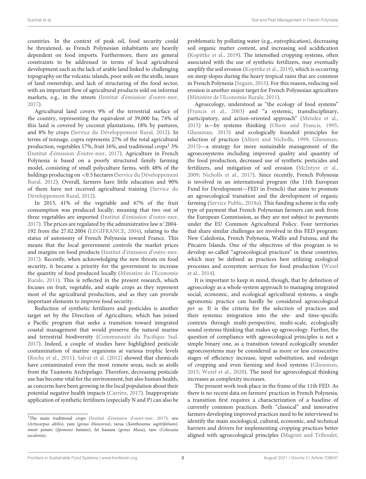countries. In the context of peak oil, food security could be threatened, as French Polynesian inhabitants are heavily dependent on food imports. Furthermore, there are general constraints to be addressed in terms of local agricultural development such as the lack of arable land linked to challenging topography on the volcanic islands, poor soils on the atolls, issues of land ownership, and lack of structuring of the food sector, with an important flow of agricultural products sold on informal markets, e.g., in the streets [\(Institut d'émission d'outre-mer,](#page-14-2) [2017\)](#page-14-2).

Agricultural land covers 9% of the terrestrial surface of the country, representing the equivalent of 39,000 ha; 74% of this land is covered by coconut plantations, 18% by pastures, and 8% by crops [\(Service du Développement Rural, 2012\)](#page-15-0). In terms of tonnage, copra represents 27% of the total agricultural production, vegetables [1](#page-2-0)7%, fruit 16%, and traditional crops $^{\rm l}$  3% [\(Institut d'émission d'outre-mer, 2017\)](#page-14-2). Agriculture in French Polynesia is based on a poorly structured family farming model, consisting of small polyculture farms, with 48% of the holdings producing on <0.5 hectares (Service du Développement Rural, [2012\)](#page-15-0). Overall, farmers have little education and 90% of them have not received agricultural training (Service du Développement Rural, [2012\)](#page-15-0).

In 2015, 41% of the vegetable and 67% of the fruit consumption was produced locally, meaning that two out of three vegetables are imported [\(Institut d'émission d'outre-mer,](#page-14-2) [2017\)](#page-14-2). The prices are regulated by the administrative law n◦ 2004- 192 from the 27.02.2004 [\(LEGIFRANCE, 2004\)](#page-14-3), relating to the status of autonomy of French Polynesia toward France. This means that the local government controls the market prices and margins on food products [\(Institut d'émission d'outre-mer,](#page-14-2) [2017\)](#page-14-2). Recently, when acknowledging the new threats on food security, it became a priority for the government to increase the quantity of food produced locally (Ministère de l'Economie Rurale, [2011\)](#page-14-4). This is reflected in the present research, which focuses on fruit, vegetable, and staple crops as they represent most of the agricultural production, and as they can provide important elements to improve food security.

Reduction of synthetic fertilizers and pesticides is another target set by the Direction of Agriculture, which has joined a Pacific program that seeks a transition toward integrated coastal management that would preserve the natural marine and terrestrial biodiversity [\(Communauté du Pacifique Sud,](#page-14-1) [2017\)](#page-14-1). Indeed, a couple of studies have highlighted pesticide contamination of marine organisms at various trophic levels [\(Roche et al., 2011\)](#page-15-1). [Salvat et al. \(2012\)](#page-15-2) showed that chemicals have contaminated even the most remote areas, such as atolls from the Tuamotu Archipelago. Therefore, decreasing pesticide use has become vital for the environment, but also human health, as concerns have been growing in the local population about their potential negative health impacts [\(Carrère, 2017\)](#page-14-5). Inappropriate application of synthetic fertilizers (especially N and P) can also be problematic by polluting water (e.g., eutrophication), decreasing soil organic matter content, and increasing soil acidification [\(Kopittke et al., 2019\)](#page-14-6). The intensified cropping systems, often associated with the use of synthetic fertilizers, may eventually amplify the soil erosion [\(Kopittke et al., 2019\)](#page-14-6), which is occurring on steep slopes during the heavy tropical rains that are common in French Polynesia [\(Seguin, 2015\)](#page-15-3). For this reason, reducing soil erosion is another major target for French Polynesian agriculture [\(Ministère de l'Economie Rurale, 2011\)](#page-14-4).

Agroecology, understood as "the ecology of food systems" [\(Francis et al., 2003\)](#page-14-7) and "a systemic, transdisciplinary, participatory, and action-oriented approach" [\(Méndez et al.,](#page-14-8) [2015\)](#page-14-8) is—by systems thinking [\(Olson and Francis, 1995;](#page-14-9) [Gliessman, 2015\)](#page-14-10) and ecologically founded principles for selection of practices [\(Altieri and Nicholls, 1999;](#page-14-11) [Gliessman,](#page-14-10) [2015\)](#page-14-10)—a strategy for more sustainable management of the agroecosystems including improved quality and quantity of the food production, decreased use of synthetic pesticides and fertilizers, and mitigation of soil erosion [\(McIntyre et al.,](#page-14-12) [2009;](#page-14-12) [Nicholls et al., 2017\)](#page-14-13). Since recently, French Polynesia is involved in an international program (the 11th European Fund for Development—FED in French) that aims to promote an agroecological transition and the development of organic farming [\(Service Public, 2018a\)](#page-15-4). This funding scheme is the only type of payment that French Polynesian farmers can seek from the European Commission, as they are not subject to payments under the EU Common Agricultural Policy. Four territories that share similar challenges are involved in this FED program: New Caledonia, French Polynesia, Wallis and Futuna, and the Pitcairn Islands. One of the objectives of this program is to develop so-called "agroecological practices" in these countries, which may be defined as practices best utilizing ecological processes and ecosystem services for food production (Wezel et al., [2014\)](#page-15-5).

It is important to keep in mind, though, that by definition of agroecology as a whole-system approach to managing integrated social, economic, and ecological agricultural systems, a single agronomic practice can hardly be considered agroecological per se. It is the criteria for the selection of practices and their systemic integration into the site- and time-specific contexts through multi-perspective, multi-scale, ecologically sound systems thinking that makes up agroecology. Further, the question of compliance with agroecological principles is not a simple binary one, as a transition toward ecologically sounder agroecosystems may be considered as more or less consecutive stages of efficiency increase, input substitution, and redesign of cropping and even farming and food systems [\(Gliessman,](#page-14-10) [2015;](#page-14-10) [Wezel et al., 2020\)](#page-15-6). The need for agroecological thinking increases as complexity increases.

The present work took place in the frame of the 11th FED. As there is no recent data on farmers' practices in French Polynesia, a transition first requires a characterization of a baseline of currently common practices. Both "classical" and innovative farmers developing improved practices need to be interviewed to identify the main sociological, cultural, economic, and technical barriers and drivers for implementing cropping practices better aligned with agroecological principles [\(Magrini and Triboulet,](#page-14-14)

<span id="page-2-0"></span><sup>&</sup>lt;sup>1</sup>The main traditional crops [\(Institut d'émission d'outre-mer, 2017\)](#page-14-2): uru (Artocarpus altilis), yam (genus Dioscorea), tarua (Xanthosoma sagittifolium), sweet potato (Ipomoea batatas), fei banana (genus Musa), taro (Colocasia esculenta).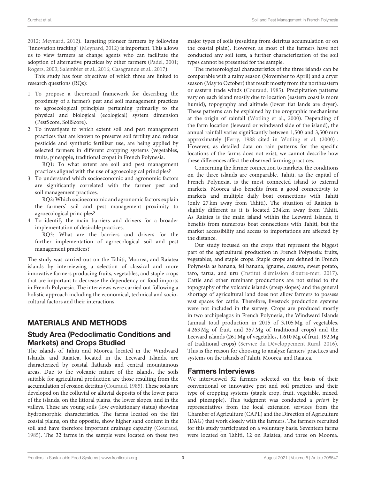[2012;](#page-14-14) [Meynard, 2012\)](#page-14-15). Targeting pioneer farmers by following "innovation tracking" [\(Meynard, 2012\)](#page-14-15) is important. This allows us to view farmers as change agents who can facilitate the adoption of alternative practices by other farmers [\(Padel, 2001;](#page-14-16) [Rogers, 2003;](#page-15-7) [Salembier et al., 2016;](#page-15-8) [Casagrande et al., 2017\)](#page-14-17).

This study has four objectives of which three are linked to research questions (RQs):

- 1. To propose a theoretical framework for describing the proximity of a farmer's pest and soil management practices to agroecological principles pertaining primarily to the physical and biological (ecological) system dimension (PestScore, SoilScore).
- 2. To investigate to which extent soil and pest management practices that are known to preserve soil fertility and reduce pesticide and synthetic fertilizer use, are being applied by selected farmers in different cropping systems (vegetables, fruits, pineapple, traditional crops) in French Polynesia.

RQ1: To what extent are soil and pest management practices aligned with the use of agroecological principles?

3. To understand which socioeconomic and agronomic factors are significantly correlated with the farmer pest and soil management practices.

RQ2: Which socioeconomic and agronomic factors explain the farmers' soil and pest management proximity to agroecological principles?

4. To identify the main barriers and drivers for a broader implementation of desirable practices.

RQ3: What are the barriers and drivers for the further implementation of agroecological soil and pest management practices?

The study was carried out on the Tahiti, Moorea, and Raiatea islands by interviewing a selection of classical and more innovative farmers producing fruits, vegetables, and staple crops that are important to decrease the dependency on food imports in French Polynesia. The interviews were carried out following a holistic approach including the economical, technical and sociocultural factors and their interactions.

# MATERIALS AND METHODS

# Study Area (Pedoclimatic Conditions and Markets) and Crops Studied

The islands of Tahiti and Moorea, located in the Windward Islands, and Raiatea, located in the Leeward Islands, are characterized by coastal flatlands and central mountainous areas. Due to the volcanic nature of the islands, the soils suitable for agricultural production are those resulting from the accumulation of erosion detritus [\(Couraud, 1985\)](#page-14-18). These soils are developed on the colluvial or alluvial deposits of the lower parts of the islands, on the littoral plains, the lower slopes, and in the valleys. These are young soils (low evolutionary status) showing hydromorphic characteristics. The farms located on the flat coastal plains, on the opposite, show higher sand content in the soil and have therefore important drainage capacity [\(Couraud,](#page-14-18) [1985\)](#page-14-18). The 32 farms in the sample were located on these two major types of soils (resulting from detritus accumulation or on the coastal plain). However, as most of the farmers have not conducted any soil tests, a further characterization of the soil types cannot be presented for the sample.

The meteorological characteristics of the three islands can be comparable with a rainy season (November to April) and a dryer season (May to October) that result mostly from the northeastern or eastern trade winds [\(Couraud, 1985\)](#page-14-18). Precipitation patterns vary on each island mostly due to location (eastern coast is more humid), topography and altitude (lower flat lands are dryer). These patterns can be explained by the orographic mechanisms at the origin of rainfall [\(Wotling et al., 2000\)](#page-15-9). Depending of the farm location (leeward or windward side of the island), the annual rainfall varies significantly between 1,500 and 3,500 mm approximately [\[Ferry, 1988](#page-14-19) cited in [Wotling et al. \(2000\)](#page-15-9)]. However, as detailed data on rain patterns for the specific locations of the farms does not exist, we cannot describe how these differences affect the observed farming practices.

Concerning the farmer connection to markets, the conditions on the three islands are comparable. Tahiti, as the capital of French Polynesia, is the most connected island to external markets. Moorea also benefits from a good connectivity to markets and multiple daily boat connections with Tahiti (only 27 km away from Tahiti). The situation of Raiatea is slightly different as it is located 234 km away from Tahiti. As Raiatea is the main island within the Leeward Islands, it benefits from numerous boat connections with Tahiti, but the market accessibility and access to importations are affected by the distance.

Our study focused on the crops that represent the biggest part of the agricultural production in French Polynesia: fruits, vegetables, and staple crops. Staple crops are defined in French Polynesia as banana, fei banana, igname, cassava, sweet potato, taro, tarua, and uru [\(Institut d'émission d'outre-mer, 2017\)](#page-14-2). Cattle and other ruminant productions are not suited to the topography of the volcanic islands (steep slopes) and the general shortage of agricultural land does not allow farmers to possess vast spaces for cattle. Therefore, livestock production systems were not included in the survey. Crops are produced mostly in two archipelagos in French Polynesia, the Windward Islands (annual total production in 2015 of 3,105 Mg of vegetables, 4,263 Mg of fruit, and 357 Mg of traditional crops) and the Leeward islands (261 Mg of vegetables, 1,610 Mg of fruit, 192 Mg of traditional crops) [\(Service du Développement Rural, 2016\)](#page-15-10). This is the reason for choosing to analyze farmers' practices and systems on the islands of Tahiti, Moorea, and Raiatea.

# Farmers Interviews

We interviewed 32 farmers selected on the basis of their conventional or innovative pest and soil practices and their type of cropping systems (staple crop, fruit, vegetable, mixed, and pineapple). This judgment was conducted a priori by representatives from the local extension services from the Chamber of Agriculture (CAPL) and the Direction of Agriculture (DAG) that work closely with the farmers. The farmers recruited for this study participated on a voluntary basis. Seventeen farms were located on Tahiti, 12 on Raiatea, and three on Moorea.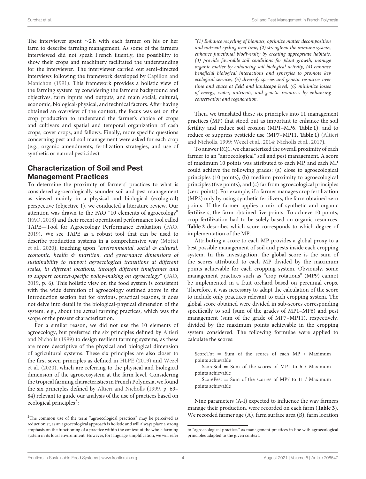The interviewer spent ∼2 h with each farmer on his or her farm to describe farming management. As some of the farmers interviewed did not speak French fluently, the possibility to show their crops and machinery facilitated the understanding for the interviewer. The interviewer carried out semi-directed interviews following the framework developed by Capillon and Manichon [\(1991\)](#page-14-20). This framework provides a holistic view of the farming system by considering the farmer's background and objectives, farm inputs and outputs, and main social, cultural, economic, biological-physical, and technical factors. After having obtained an overview of the context, the focus was set on the crop production to understand the farmer's choice of crops and cultivars and spatial and temporal organization of cash crops, cover crops, and fallows. Finally, more specific questions concerning pest and soil management were asked for each crop (e.g., organic amendments, fertilization strategies, and use of synthetic or natural pesticides).

## Characterization of Soil and Pest Management Practices

To determine the proximity of farmers' practices to what is considered agroecologically sounder soil and pest management as viewed mainly in a physical and biological (ecological) perspective (objective 1), we conducted a literature review. Our attention was drawn to the FAO "10 elements of agroecology" [\(FAO, 2018\)](#page-14-21) and their recent operational performance tool called TAPE—Tool for Agroecology Performance Evaluation [\(FAO,](#page-14-22) [2019\)](#page-14-22). We see TAPE as a robust tool that can be used to describe production systems in a comprehensive way (Mottet et al., [2020\)](#page-14-23), touching upon "environmental, social & cultural, economic, health & nutrition, and governance dimensions of sustainability to support agroecological transitions at different scales, in different locations, through different timeframes and to support context-specific policy-making on agroecology" [\(FAO,](#page-14-22) [2019,](#page-14-22) p. 6). This holistic view on the food system is consistent with the wide definition of agroecology outlined above in the Introduction section but for obvious, practical reasons, it does not delve into detail in the biological-physical dimension of the system, e.g., about the actual farming practices, which was the scope of the present characterization.

For a similar reason, we did not use the 10 elements of agroecology, but preferred the six principles defined by Altieri and Nicholls [\(1999\)](#page-14-11) to design resilient farming systems, as these are more descriptive of the physical and biological dimension of agricultural systems. These six principles are also closer to the first seven principles as defined in [HLPE \(2019\)](#page-14-24) and Wezel et al. [\(2020\)](#page-15-6), which are referring to the physical and biological dimension of the agroecosystem at the farm level. Considering the tropical farming characteristics in French Polynesia, we found the six principles defined by [Altieri and Nicholls](#page-14-11) [\(1999,](#page-14-11) p. 69– 84) relevant to guide our analysis of the use of practices based on ecological principles<sup>[2](#page-4-0)</sup>:

"(1) Enhance recycling of biomass, optimize matter decomposition and nutrient cycling over time, (2) strengthen the immune system, enhance functional biodiversity by creating appropriate habitats, (3) provide favorable soil conditions for plant growth, manage organic matter by enhancing soil biological activity, (4) enhance beneficial biological interactions and synergies to promote key ecological services, (5) diversify species and genetic resources over time and space at field and landscape level, (6) minimize losses of energy, water, nutrients, and genetic resources by enhancing conservation and regeneration."

Then, we translated these six principles into 11 management practices (MP) that stood out as important to enhance the soil fertility and reduce soil erosion (MP1–MP6, **[Table 1](#page-5-0)**), and to reduce or suppress pesticide use (MP7–MP11, **[Table 1](#page-5-0)**) (Altieri and Nicholls, [1999;](#page-14-11) [Wezel et al., 2014;](#page-15-5) [Nicholls et al., 2017\)](#page-14-13).

To answer RQ1, we characterized the overall proximity of each farmer to an "agroecological" soil and pest management. A score of maximum 10 points was attributed to each MP, and each MP could achieve the following grades: (a) close to agroecological principles (10 points), (b) medium proximity to agroecological principles (five points), and (c) far from agroecological principles (zero points). For example, if a farmer manages crop fertilization (MP2) only by using synthetic fertilizers, the farm obtained zero points. If the farmer applies a mix of synthetic and organic fertilizers, the farm obtained five points. To achieve 10 points, crop fertilization had to be solely based on organic resources. **[Table 2](#page-6-0)** describes which score corresponds to which degree of implementation of the MP.

Attributing a score to each MP provides a global proxy to a best possible management of soil and pests inside each cropping system. In this investigation, the global score is the sum of the scores attributed to each MP divided by the maximum points achievable for each cropping system. Obviously, some management practices such as "crop rotations" (MP9) cannot be implemented in a fruit orchard based on perennial crops. Therefore, it was necessary to adapt the calculation of the score to include only practices relevant to each cropping system. The global score obtained were divided in sub-scores corresponding specifically to soil (sum of the grades of MP1–MP6) and pest management (sum of the grade of MP7–MP11), respectively, divided by the maximum points achievable in the cropping system considered. The following formulae were applied to calculate the scores:

ScoreTot = Sum of the scores of each MP / Maximum points achievable

ScoreSoil = Sum of the scores of MP1 to  $6 /$  Maximum points achievable

ScorePest = Sum of the scorres of MP7 to 11 / Maximum points achievable

Nine parameters (A-I) expected to influence the way farmers manage their production, were recorded on each farm (**[Table 3](#page-7-0)**). We recorded farmer age (A), farm surface area (B), farm location

<span id="page-4-0"></span><sup>2</sup>The common use of the term "agroecological practices" may be perceived as reductionist, as an agroecological approach is holistic and will always place a strong emphasis on the functioning of a practice within the context of the whole farming system in its local environment. However, for language simplification, we will refer

to "agroecological practices" as management practices in line with agroecological principles adapted to the given context.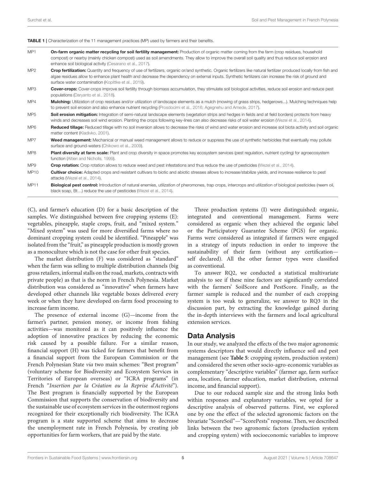#### <span id="page-5-0"></span>TABLE 1 | Characterization of the 11 management practices (MP) used by farmers and their benefits.

| MP <sub>1</sub> | <b>On-farm organic matter recycling for soil fertility management:</b> Production of organic matter coming from the farm (crop residues, household   |
|-----------------|------------------------------------------------------------------------------------------------------------------------------------------------------|
|                 | compost) or nearby (mainly chicken compost) used as soil amendments. They allow to improve the overall soil quality and thus reduce soil erosion and |
|                 | enhance soil biological activity (Cesarano et al., 2017).                                                                                            |

MP2 Crop fertilization: Quantity and frequency of use of fertilizers, organic or/and synthetic. Organic fertilizers like natural fertilizer produced locally from fish and algae residues allow to enhance plant health and decrease the dependency on external inputs. Synthetic fertilizers can increase the risk of ground and surface water contamination [\(Kopittke et al., 2019\)](#page-14-6).

- MP3 Cover-crops: Cover-crops improve soil fertility through biomass accumulation, they stimulate soil biological activities, reduce soil erosion and reduce pest populations [\(Daryanto et al., 2018\)](#page-14-26).
- MP4 Mulching: Utilization of crop residues and/or utilization of landscape elements as a mulch (mowing of grass strips, hedgerows...). Mulching techniques help to prevent soil erosion and also enhance nutrient recycling [\(Prosdocimi et al., 2016;](#page-15-11) [Agegnehu and Amede, 2017\)](#page-14-27).
- MP5 Soil erosion mitigation: Integration of semi-natural landscape elements (vegetation strips and hedges in fields and at field borders) protects from heavy winds and decreases soil wind erosion. Planting the crops following key-lines can also decrease risks of soil water erosion [\(Wezel et al., 2014\)](#page-15-5).
- MP6 Reduced tillage: Reduced tillage with no soil inversion allows to decrease the risks of wind and water erosion and increase soil biota activity and soil organic matter content [\(Kladivko, 2001\)](#page-14-28).
- MP7 Weed management: Mechanical or manual weed management allows to reduce or suppress the use of synthetic herbicides that eventually may pollute surface and ground-waters [\(Chikowo et al., 2009\)](#page-14-29).
- MP8 Plant diversity at farm scale: Plant and crop diversity in space promotes key ecosystem services (pest regulation, nutrient cycling) for agroecosystem function [\(Altieri and Nicholls, 1999\)](#page-14-11).
- MP9 **Crop rotation:** Crop rotation allows to reduce weed and pest infestations and thus reduce the use of pesticides [\(Wezel et al., 2014\)](#page-15-5).
- MP10 Cultivar choice: Adapted crops and resistant cultivars to biotic and abiotic stresses allows to increase/stabilize yields, and increase resilience to pest attacks [\(Wezel et al., 2014\)](#page-15-5).
- MP11 Biological pest control: Introduction of natural enemies, utilization of pheromones, trap crops, intercrops and utilization of biological pesticides (neem oil, black soap, Bt…) reduce the use of pesticides [\(Wezel et al., 2014\)](#page-15-5).

(C), and farmer's education (D) for a basic description of the samples. We distinguished between five cropping systems (E): vegetables, pineapple, staple crops, fruit, and "mixed system." "Mixed system" was used for more diversified farms where no dominant cropping system could be identified. "Pineapple" was isolated from the "fruit," as pineapple production is mostly grown as a monoculture which is not the case for other fruit species.

The market distribution (F) was considered as "standard" when the farm was selling to multiple distribution channels (big gross retailers, informal stalls on the road, markets, contracts with private people) as that is the norm in French Polynesia. Market distribution was considered as "innovative" when farmers have developed other channels like vegetable boxes delivered every week or when they have developed on-farm food processing to increase farm income.

The presence of external income (G)—income from the farmer's partner, pension money, or income from fishing activities—was monitored as it can positively influence the adoption of innovative practices by reducing the economic risk caused by a possible failure. For a similar reason, financial support (H) was ticked for farmers that benefit from a financial support from the European Commission or the French Polynesian State via two main schemes: "Best program" (voluntary scheme for Biodiversity and Ecosystem Services in Territories of European overseas) or "ICRA programs" (in French "Insertion par la Création ou la Reprise d'Activité"). The Best program is financially supported by the European Commission that supports the conservation of biodiversity and the sustainable use of ecosystem services in the outermost regions recognized for their exceptionally rich biodiversity. The ICRA program is a state supported scheme that aims to decrease the unemployment rate in French Polynesia, by creating job opportunities for farm workers, that are paid by the state.

Three production systems (I) were distinguished: organic, integrated and conventional management. Farms were considered as organic when they achieved the organic label or the Participatory Guarantee Scheme (PGS) for organic. Farms were considered as integrated if farmers were engaged in a strategy of inputs reduction in order to improve the sustainability of their farm (without any certification self declared). All the other farmer types were classified as conventional.

To answer RQ2, we conducted a statistical multivariate analysis to see if these nine factors are significantly correlated with the farmers' SoilScore and PestScore. Finally, as the farmer sample is reduced and the number of each cropping system is too weak to generalize, we answer to RQ3 in the discussion part, by extracting the knowledge gained during the in-depth interviews with the farmers and local agricultural extension services.

#### Data Analysis

In our study, we analyzed the effects of the two major agronomic systems descriptors that would directly influence soil and pest management (see **[Table 5](#page-9-0)**: cropping system, production system) and considered the seven other socio-agro-economic variables as complementary "descriptive variables" (farmer age, farm surface area, location, farmer education, market distribution, external income, and financial support).

Due to our reduced sample size and the strong links both within responses and explanatory variables, we opted for a descriptive analysis of observed patterns. First, we explored one by one the effect of the selected agronomic factors on the bivariate "ScoreSoil"—"ScorePests" response. Then, we described links between the two agronomic factors (production system and cropping system) with socioeconomic variables to improve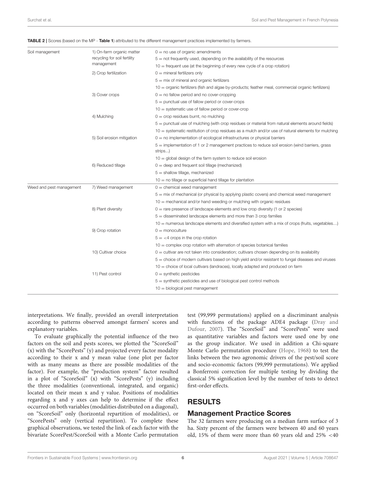| Soil management          | 1) On-farm organic matter<br>recycling for soil fertility<br>management | $0 =$ no use of organic amendments<br>$5 =$ not frequently used, depending on the availability of the resources<br>$10 =$ frequent use (at the beginning of every new cycle of a crop rotation) |  |  |  |  |  |  |
|--------------------------|-------------------------------------------------------------------------|-------------------------------------------------------------------------------------------------------------------------------------------------------------------------------------------------|--|--|--|--|--|--|
|                          | 2) Crop fertilization                                                   | $0 =$ mineral fertilizers only                                                                                                                                                                  |  |  |  |  |  |  |
|                          |                                                                         | $5 =$ mix of mineral and organic fertilizers                                                                                                                                                    |  |  |  |  |  |  |
|                          |                                                                         | 10 = organic fertilizers (fish and algae by-products; feather meal, commercial organic fertilizers)                                                                                             |  |  |  |  |  |  |
|                          | 3) Cover crops                                                          | $0 =$ no fallow period and no cover-cropping                                                                                                                                                    |  |  |  |  |  |  |
|                          |                                                                         | $5 =$ punctual use of fallow period or cover-crops                                                                                                                                              |  |  |  |  |  |  |
|                          |                                                                         | $10 =$ systematic use of fallow period or cover-crop                                                                                                                                            |  |  |  |  |  |  |
|                          | 4) Mulching                                                             | $0 =$ crop residues burnt, no mulching                                                                                                                                                          |  |  |  |  |  |  |
|                          |                                                                         | 5 = punctual use of mulching (with crop residues or material from natural elements around fields)                                                                                               |  |  |  |  |  |  |
|                          |                                                                         | $10 =$ systematic restitution of crop residues as a mulch and/or use of natural elements for mulching                                                                                           |  |  |  |  |  |  |
|                          | 5) Soil erosion mitigation                                              | $0 =$ no implementation of ecological infrastructures or physical barriers                                                                                                                      |  |  |  |  |  |  |
|                          |                                                                         | $5 =$ implementation of 1 or 2 management practices to reduce soil erosion (wind barriers, grass<br>strips)                                                                                     |  |  |  |  |  |  |
|                          |                                                                         | $10 =$ global design of the farm system to reduce soil erosion                                                                                                                                  |  |  |  |  |  |  |
|                          | 6) Reduced tillage                                                      | $0 =$ deep and frequent soil tillage (mechanized)                                                                                                                                               |  |  |  |  |  |  |
|                          |                                                                         | $5 =$ shallow tillage, mechanized                                                                                                                                                               |  |  |  |  |  |  |
|                          |                                                                         | $10 =$ no tillage or superficial hand tillage for plantation                                                                                                                                    |  |  |  |  |  |  |
| Weed and pest management | 7) Weed management                                                      | $0 =$ chemical weed management                                                                                                                                                                  |  |  |  |  |  |  |
|                          |                                                                         | $5 =$ mix of mechanical (or physical by applying plastic covers) and chemical weed management                                                                                                   |  |  |  |  |  |  |
|                          |                                                                         | $10$ = mechanical and/or hand weeding or mulching with organic residues                                                                                                                         |  |  |  |  |  |  |
|                          | 8) Plant diversity                                                      | $0 =$ rare presence of landscape elements and low crop diversity (1 or 2 species)                                                                                                               |  |  |  |  |  |  |
|                          |                                                                         | $5$ = disseminated landscape elements and more than 3 crop families                                                                                                                             |  |  |  |  |  |  |
|                          |                                                                         | 10 = numerous landscape elements and diversified system with a mix of crops (fruits, vegetables)                                                                                                |  |  |  |  |  |  |
|                          | 9) Crop rotation                                                        | $0 =$ monoculture                                                                                                                                                                               |  |  |  |  |  |  |
|                          |                                                                         | $5 = 4$ crops in the crop rotation                                                                                                                                                              |  |  |  |  |  |  |
|                          |                                                                         | $10 =$ complex crop rotation with alternation of species botanical families                                                                                                                     |  |  |  |  |  |  |
|                          | 10) Cultivar choice                                                     | $0 =$ cultivar are not taken into consideration; cultivars chosen depending on its availability                                                                                                 |  |  |  |  |  |  |
|                          |                                                                         | $5$ $=$ choice of modern cultivars based on high yield and/or resistant to fungal diseases and viruses                                                                                          |  |  |  |  |  |  |
|                          |                                                                         | $10$ = choice of local cultivars (landraces), locally adapted and produced on farm                                                                                                              |  |  |  |  |  |  |
|                          | 11) Pest control                                                        | $0 =$ synthetic pesticides                                                                                                                                                                      |  |  |  |  |  |  |
|                          |                                                                         | $5 =$ synthetic pesticides and use of biological pest control methods                                                                                                                           |  |  |  |  |  |  |
|                          |                                                                         | $10 =$ biological pest management                                                                                                                                                               |  |  |  |  |  |  |

<span id="page-6-0"></span>TABLE 2 | Scores (based on the MP - [Table 1](#page-5-0)) attributed to the different management practices implemented by farmers.

interpretations. We finally, provided an overall interpretation according to patterns observed amongst farmers' scores and explanatory variables.

To evaluate graphically the potential influence of the two factors on the soil and pests scores, we plotted the "ScoreSoil" (x) with the "ScorePests" (y) and projected every factor modality according to their x and y mean value (one plot per factor with as many means as there are possible modalities of the factor). For example, the "production system" factor resulted in a plot of "ScoreSoil" (x) with "ScorePests" (y) including the three modalities (conventional, integrated, and organic) located on their mean x and y value. Positions of modalities regarding x and y axes can help to determine if the effect occurred on both variables (modalities distributed on a diagonal), on "ScoreSoil" only (horizontal repartition of modalities), or "ScorePests" only (vertical repartition). To complete these graphical observations, we tested the link of each factor with the bivariate ScorePest/ScoreSoil with a Monte Carlo permutation test (99,999 permutations) applied on a discriminant analysis with functions of the package ADE4 package (Dray and Dufour, [2007\)](#page-14-30). The "ScoreSoil" and "ScorePests" were used as quantitative variables and factors were used one by one as the group indicator. We used in addition a Chi-square Monte Carlo permutation procedure [\(Hope, 1968\)](#page-14-31) to test the links between the two agronomic drivers of the pest/soil score and socio-economic factors (99,999 permutations). We applied a Bonferroni correction for multiple testing by dividing the classical 5% signification level by the number of tests to detect first-order effects.

## RESULTS

### Management Practice Scores

The 32 farmers were producing on a median farm surface of 3 ha. Sixty percent of the farmers were between 40 and 60 years old, 15% of them were more than 60 years old and 25% <40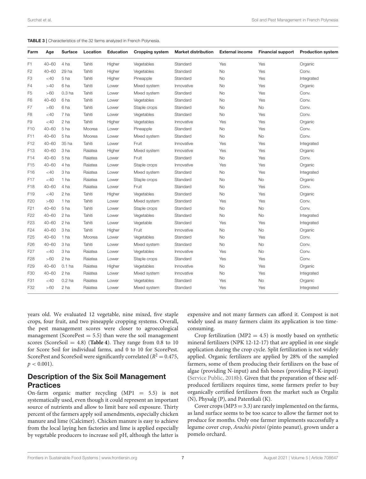<span id="page-7-0"></span>

| TABLE 3   Characteristics of the 32 farms analyzed in French Polynesia. |
|-------------------------------------------------------------------------|
|-------------------------------------------------------------------------|

| Farm            | Age       | <b>Surface</b>    | Location | <b>Education</b> | <b>Cropping system</b> | <b>Market distribution</b> | <b>External income</b> | <b>Financial support</b> | <b>Production system</b> |
|-----------------|-----------|-------------------|----------|------------------|------------------------|----------------------------|------------------------|--------------------------|--------------------------|
| F1              | $40 - 60$ | 4 ha              | Tahiti   | Higher           | Vegetables             | Standard                   | Yes                    | Yes                      | Organic                  |
| F2              | $40 - 60$ | 29 ha             | Tahiti   | Higher           | Vegetables             | Standard                   | <b>No</b>              | Yes                      | Conv.                    |
| F <sub>3</sub>  | $<$ 40    | 5 ha              | Tahiti   | Higher           | Pineapple              | Standard                   | <b>No</b>              | Yes                      | Integrated               |
| F4              | >40       | 6 ha              | Tahiti   | Lower            | Mixed system           | Innovative                 | <b>No</b>              | Yes                      | Organic                  |
| F5              | >60       | 0.3 <sub>ha</sub> | Tahiti   | Lower            | Mixed system           | Standard                   | <b>No</b>              | Yes                      | Conv.                    |
| F <sub>6</sub>  | $40 - 60$ | 6 ha              | Tahiti   | Lower            | Vegetables             | Standard                   | <b>No</b>              | Yes                      | Conv.                    |
| F7              | >60       | 6 ha              | Tahiti   | Lower            | Staple crops           | Standard                   | <b>No</b>              | No                       | Conv.                    |
| F8              | $<$ 40    | 7 ha              | Tahiti   | Lower            | Vegetables             | Standard                   | <b>No</b>              | Yes                      | Conv.                    |
| F9              | $<$ 40    | 2 ha              | Tahiti   | Higher           | Vegetables             | Innovative                 | Yes                    | Yes                      | Organic                  |
| F <sub>10</sub> | $40 - 60$ | 5 ha              | Moorea   | Lower            | Pineapple              | Standard                   | <b>No</b>              | Yes                      | Conv.                    |
| F11             | $40 - 60$ | 5 ha              | Moorea   | Lower            | Mixed system           | Standard                   | <b>No</b>              | No                       | Conv.                    |
| F12             | $40 - 60$ | 35 ha             | Tahiti   | Lower            | Fruit                  | Innovative                 | Yes                    | Yes                      | Integrated               |
| F13             | $40 - 60$ | 3 ha              | Raiatea  | Higher           | Mixed system           | Innovative                 | Yes                    | Yes                      | Organic                  |
| F <sub>14</sub> | $40 - 60$ | 5 ha              | Raiatea  | Lower            | Fruit                  | Standard                   | <b>No</b>              | Yes                      | Conv.                    |
| F <sub>15</sub> | $40 - 60$ | 4 ha              | Raiatea  | Lower            | Staple crops           | Innovative                 | Yes                    | Yes                      | Organic                  |
| F16             | $<$ 40    | 3 ha              | Raiatea  | Lower            | Mixed system           | Standard                   | No                     | Yes                      | Integrated               |
| F <sub>17</sub> | $<$ 40    | 1 ha              | Raiatea  | Lower            | Staple crops           | Standard                   | <b>No</b>              | No                       | Organic                  |
| F18             | $40 - 60$ | 4 ha              | Raiatea  | Lower            | Fruit                  | Standard                   | <b>No</b>              | Yes                      | Conv.                    |
| F <sub>19</sub> | $<$ 40    | 2 ha              | Tahiti   | Higher           | Vegetables             | Standard                   | <b>No</b>              | Yes                      | Organic                  |
| F <sub>20</sub> | >60       | 1 ha              | Tahiti   | Lower            | Mixed system           | Standard                   | Yes                    | Yes                      | Conv.                    |
| F <sub>21</sub> | $40 - 60$ | 5 ha              | Tahiti   | Lower            | Staple crops           | Standard                   | <b>No</b>              | <b>No</b>                | Conv.                    |
| F <sub>22</sub> | $40 - 60$ | 2 ha              | Tahiti   | Lower            | Vegetables             | Standard                   | <b>No</b>              | No                       | Integrated               |
| F <sub>23</sub> | $40 - 60$ | 2 ha              | Tahiti   | Lower            | Vegetable              | Standard                   | Yes                    | Yes                      | Integrated               |
| F <sub>24</sub> | $40 - 60$ | 3 ha              | Tahiti   | Higher           | Fruit                  | Innovative                 | No                     | No                       | Organic                  |
| F <sub>25</sub> | $40 - 60$ | 1 ha              | Moorea   | Lower            | Vegetables             | Standard                   | <b>No</b>              | Yes                      | Conv.                    |
| F <sub>26</sub> | $40 - 60$ | 3 ha              | Tahiti   | Lower            | Mixed system           | Standard                   | <b>No</b>              | <b>No</b>                | Conv.                    |
| F <sub>27</sub> | <40       | 3 ha              | Raiatea  | Lower            | Vegetables             | Innovative                 | Yes                    | No                       | Conv.                    |
| F <sub>28</sub> | >60       | 2 ha              | Raiatea  | Lower            | Staple crops           | Standard                   | Yes                    | Yes                      | Conv.                    |
| F <sub>29</sub> | $40 - 60$ | $0.1$ ha          | Raiatea  | Higher           | Vegetables             | Innovative                 | <b>No</b>              | Yes                      | Organic                  |
| F30             | $40 - 60$ | 2 ha              | Raiatea  | Lower            | Mixed system           | Innovative                 | <b>No</b>              | Yes                      | Integrated               |
| F31             | $<$ 40    | $0.2$ ha          | Raiatea  | Lower            | Vegetables             | Standard                   | Yes                    | No                       | Organic                  |
| F32             | >60       | 2 ha              | Raiatea  | Lower            | Mixed system           | Standard                   | Yes                    | Yes                      | Integrated               |

years old. We evaluated 12 vegetable, nine mixed, five staple crops, four fruit, and two pineapple cropping systems. Overall, the pest management scores were closer to agroecological management (ScorePest  $= 5.5$ ) than were the soil management scores (ScoreSoil =  $4.8$ ) (**[Table 4](#page-8-0)**). They range from 0.8 to 10 for Score Soil for individual farms, and 0 to 10 for ScorePest. ScorePest and ScoreSoil were significantly correlated ( $R^2 = 0.475$ ,  $p < 0.001$ ).

### Description of the Six Soil Management **Practices**

On-farm organic matter recycling  $(MPI = 5.5)$  is not systematically used, even though it could represent an important source of nutrients and allow to limit bare soil exposure. Thirty percent of the farmers apply soil amendments, especially chicken manure and lime (Calcimer). Chicken manure is easy to achieve from the local laying hen factories and lime is applied especially by vegetable producers to increase soil pH, although the latter is expensive and not many farmers can afford it. Compost is not widely used as many farmers claim its application is too timeconsuming.

Crop fertilization ( $MP2 = 4.5$ ) is mostly based on synthetic mineral fertilizers (NPK 12-12-17) that are applied in one single application during the crop cycle. Split fertilization is not widely applied. Organic fertilizers are applied by 28% of the sampled farmers, some of them producing their fertilizers on the base of algae (providing N-input) and fish bones (providing P-K-input) [\(Service Public, 2018b\)](#page-15-12). Given that the preparation of these selfproduced fertilizers requires time, some farmers prefer to buy organically certified fertilizers from the market such as Orgaliz (N), Physalg (P), and Patentkali (K).

Cover crops ( $MP3 = 3.3$ ) are rarely implemented on the farms, as land surface seems to be too scarce to allow the farmer not to produce for months. Only one farmer implements successfully a legume cover crop, Arachis pintoi (pinto peanut), grown under a pomelo orchard.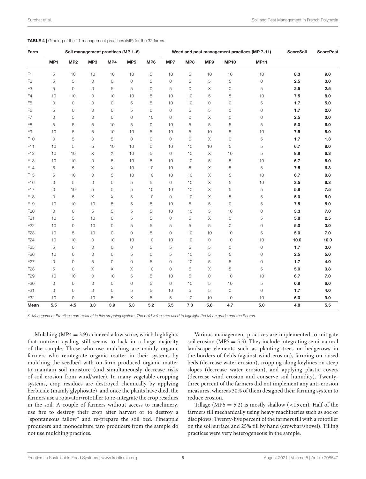<span id="page-8-0"></span>

| <b>TABLE 4</b>   Grading of the 11 management practices (MP) for the 32 farms. |
|--------------------------------------------------------------------------------|
|--------------------------------------------------------------------------------|

| Farm            | Soil management practices (MP 1-6) |                 |                |                     |                 |         | Weed and pest management practices (MP 7-11) |         |             |                     | <b>ScoreSoil</b>    | <b>ScorePest</b> |       |
|-----------------|------------------------------------|-----------------|----------------|---------------------|-----------------|---------|----------------------------------------------|---------|-------------|---------------------|---------------------|------------------|-------|
|                 | MP1                                | MP <sub>2</sub> | MP3            | MP4                 | MP <sub>5</sub> | MP6     | MP7                                          | MP8     | MP9         | <b>MP10</b>         | <b>MP11</b>         |                  |       |
| F <sub>1</sub>  | 5                                  | 10              | 10             | 10                  | 10              | 5       | 10                                           | 5       | 10          | 10                  | 10                  | 8.3              | 9.0   |
| F <sub>2</sub>  | 5                                  | 5               | $\overline{0}$ | $\circ$             | 0               | 5       | 0                                            | 5       | 5           | 5                   | $\mathsf{O}\xspace$ | 2.5              | 3.0   |
| F3              | 5                                  | 0               | $\circ$        | 5                   | 5               | 0       | 5                                            | $\circ$ | Χ           | 0                   | 5                   | 2.5              | 2.5   |
| F4              | 10                                 | 10              | $\circ$        | 10                  | 10              | 5       | 10                                           | 10      | 5           | 5                   | 10                  | 7.5              | 8.0   |
| F <sub>5</sub>  | $\circ$                            | 0               | $\circ$        | $\mathsf{O}\xspace$ | 5               | 5       | 10                                           | 10      | $\circ$     | $\mathbb O$         | 5                   | 1.7              | 5.0   |
| F <sub>6</sub>  | 5                                  | 0               | $\circ$        | $\circ$             | 5               | $\circ$ | 0                                            | 5       | 5           | $\circ$             | $\mathsf{O}\xspace$ | 1.7              | 2.0   |
| F7              | $\circ$                            | 5               | $\circ$        | $\mathsf{O}\xspace$ | 0               | 10      | 0                                            | 0       | Χ           | $\mathbb O$         | 0                   | 2.5              | 0.0   |
| F8              | 5                                  | 5               | 5              | 10                  | 5               | $\circ$ | 10                                           | 5       | 5           | 5                   | 5                   | 5.0              | 6.0   |
| F9              | 10                                 | 5               | 5              | 10                  | 10              | 5       | 10                                           | 5       | 10          | 5                   | 10                  | 7.5              | 8.0   |
| F <sub>10</sub> | $\circ$                            | 5               | $\circ$        | 5                   | 0               | $\circ$ | 0                                            | 0       | Χ           | 0                   | 5                   | 1.7              | $1.3$ |
| F11             | 10                                 | 5               | 5              | 10                  | 10              | $\circ$ | 10                                           | 10      | 10          | 5                   | 5                   | 6.7              | 8.0   |
| F12             | 10                                 | 10              | Χ              | Χ                   | 10              | 5       | 0                                            | 10      | Χ           | 10                  | 5                   | 8.8              | 6.3   |
| F13             | 10                                 | 10              | $\circ$        | 5                   | 10              | 5       | 10                                           | 10      | 5           | 5                   | 10                  | 6.7              | 8.0   |
| F14             | 5                                  | 5               | X              | Χ                   | 10              | 10      | 10                                           | 5       | Χ           | 5                   | 5                   | 7.5              | 6.3   |
| F <sub>15</sub> | 5                                  | 10              | $\circ$        | 5                   | 10              | 10      | 10                                           | 10      | X           | 5                   | 10                  | 6.7              | 8.8   |
| F16             | $\circ$                            | 5               | $\circ$        | $\mathsf{O}\xspace$ | 5               | 5       | 0                                            | 10      | $\times$    | 5                   | 10                  | 2.5              | 6.3   |
| F17             | 0                                  | 10              | 5              | 5                   | 5               | 10      | 10                                           | 10      | X           | 5                   | 5                   | 5.8              | 7.5   |
| F18             | $\circ$                            | 5               | X              | Χ                   | 5               | 10      | 0                                            | 10      | Χ           | 5                   | 5                   | 5.0              | 5.0   |
| F <sub>19</sub> | 10                                 | 10              | 10             | 5                   | 5               | 5       | 10                                           | 5       | 5           | $\circ$             | 5                   | 7.5              | 5.0   |
| F <sub>20</sub> | $\circ$                            | 0               | 5              | 5                   | 5               | 5       | 10                                           | 10      | 5           | 10                  | $\circ$             | 3.3              | 7.0   |
| F <sub>21</sub> | 10                                 | 5               | 10             | 0                   | 5               | 5       | 0                                            | 5       | Χ           | 0                   | 5                   | 5.8              | 2.5   |
| F <sub>22</sub> | 10                                 | 0               | 10             | 0                   | 5               | 5       | 5                                            | 5       | 5           | $\circ$             | 0                   | 5.0              | 3.0   |
| F <sub>23</sub> | 10                                 | 5               | 10             | $\mathsf{O}$        | $\overline{0}$  | 5       | $\mathsf{O}\xspace$                          | 10      | 10          | 10                  | 5                   | 5.0              | 7.0   |
| F <sub>24</sub> | 10                                 | 10              | $\circ$        | 10                  | 10              | 10      | 10                                           | 10      | 0           | 10                  | 10                  | 10.0             | 10.0  |
| F <sub>25</sub> | 5                                  | 0               | $\circ$        | $\mathsf{O}\xspace$ | 0               | 5       | 5                                            | 5       | 5           | $\mathsf{O}\xspace$ | 0                   | 1.7              | 3.0   |
| F <sub>26</sub> | 10                                 | 0               | $\circ$        | 0                   | 5               | 0       | 5                                            | 10      | 5           | 5                   | 0                   | 2.5              | 5.0   |
| F <sub>27</sub> | $\circ$                            | 0               | 5              | $\circ$             | $\mathbf 0$     | 5       | 0                                            | 10      | 5           | 5                   | $\mathsf{O}\xspace$ | 1.7              | 4.0   |
| F <sub>28</sub> | 5                                  | 0               | Χ              | Χ                   | Χ               | 10      | 0                                            | 5       | Χ           | 5                   | 5                   | 5.0              | 3.8   |
| F <sub>29</sub> | 10                                 | 10              | $\circ$        | 10                  | 5               | 5       | 10                                           | 5       | $\mathbf 0$ | 10                  | 10                  | 6.7              | 7.0   |
| F30             | $\circ$                            | 0               | $\circ$        | $\circ$             | 0               | 5       | 0                                            | 10      | 5           | 10                  | 5                   | 0.8              | 6.0   |
| F31             | $\circ$                            | 0               | $\circ$        | $\circ$             | 5               | 5       | 10                                           | 5       | 5           | $\circ$             | $\circ$             | 1.7              | 4.0   |
| F32             | 10                                 | 0               | 10             | 5                   | X               | 5       | 5                                            | 10      | 10          | 10                  | 10                  | 6.0              | 9.0   |
| Mean            | 5.5                                | 4.5             | 3.3            | 3.9                 | 5.3             | 5.2     | 5.5                                          | 7.0     | 5.8         | 4.7                 | 5.0                 | 4.8              | 5.5   |

X, Management Practices non-existent in this cropping system. The bold values are used to highlight the Mean grade and the Scores.

Mulching ( $MP4 = 3.9$ ) achieved a low score, which highlights that nutrient cycling still seems to lack in a large majority of the sample. Those who use mulching are mainly organic farmers who reintegrate organic matter in their systems by mulching the seedbed with on-farm produced organic matter to maintain soil moisture (and simultaneously decrease risks of soil erosion from wind/water). In many vegetable cropping systems, crop residues are destroyed chemically by applying herbicide (mainly glyphosate), and once the plants have died, the farmers use a rotavator/rototiller to re-integrate the crop residues in the soil. A couple of farmers without access to machinery, use fire to destroy their crop after harvest or to destroy a "spontaneous fallow" and re-prepare the soil bed. Pineapple producers and monoculture taro producers from the sample do not use mulching practices.

Various management practices are implemented to mitigate soil erosion ( $MP5 = 5.3$ ). They include integrating semi-natural landscape elements such as planting trees or hedgerows in the borders of fields (against wind erosion), farming on raised beds (decrease water erosion), cropping along keylines on steep slopes (decrease water erosion), and applying plastic covers (decrease wind erosion and conserve soil humidity). Twentythree percent of the farmers did not implement any anti-erosion measures, whereas 30% of them designed their farming system to reduce erosion.

Tillage (MP6 = 5.2) is mostly shallow ( $\lt$ 15 cm). Half of the farmers till mechanically using heavy machineries such as soc or disc plows. Twenty-five percent of the farmers till with a rototiller on the soil surface and 25% till by hand (crowbar/shovel). Tilling practices were very heterogeneous in the sample.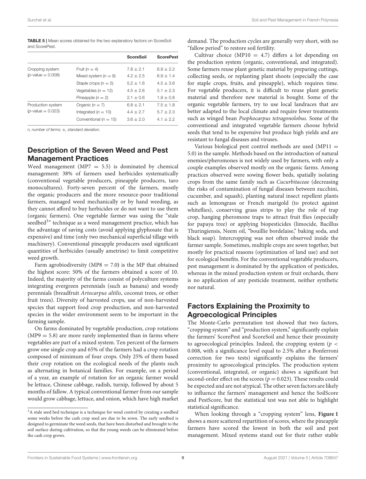<span id="page-9-0"></span>

| <b>TABLE 5</b>   Mean scores obtained for the two explanatory factors on ScoreSoil |  |  |  |  |  |
|------------------------------------------------------------------------------------|--|--|--|--|--|
| and ScorePest.                                                                     |  |  |  |  |  |

|                      |                           | <b>ScoreSoil</b> | <b>ScorePest</b> |
|----------------------|---------------------------|------------------|------------------|
| Cropping system      | Fruit $(n=4)$             | $7.8 + 2.1$      | $6.9 + 2.2$      |
| $(p$ -value = 0.008) | Mixed system $(n = 9)$    | $4.2 + 2.5$      | $6.9 \pm 1.4$    |
|                      | Staple crops $(n = 5)$    | $5.2 + 1.6$      | $4.5 + 3.6$      |
|                      | Vegetables $(n = 12)$     | $4.5 + 2.6$      | $5.1 + 2.3$      |
|                      | Pineapple $(n = 2)$       | $2.1 + 0.6$      | $1.9 + 0.8$      |
| Production system    | Organic $(n = 7)$         | $6.8 + 2.1$      | $7.5 + 1.8$      |
| $(p$ -value = 0.023) | Integrated $(n = 10)$     | $4.4 + 2.7$      | $5.7 + 2.3$      |
|                      | Conventional ( $n = 15$ ) | $3.6 + 2.0$      | $4.1 + 2.2$      |
|                      |                           |                  |                  |

n, number of farms; ±, standard deviation.

### Description of the Seven Weed and Pest Management Practices

Weed management (MP7  $=$  5.5) is dominated by chemical management: 38% of farmers used herbicides systematically (conventional vegetable producers, pineapple producers, taro monocultures). Forty-seven percent of the farmers, mostly the organic producers and the more resource-poor traditional farmers, managed weed mechanically or by hand weeding, as they cannot afford to buy herbicides or do not want to use them (organic farmers). One vegetable farmer was using the "stale seedbed<sup>[3](#page-9-1)</sup>" technique as a weed management practice, which has the advantage of saving costs (avoid applying glyphosate that is expensive) and time (only two mechanical superficial tillage with machinery). Conventional pineapple producers used significant quantities of herbicides (usually ametrine) to limit competitive weed growth.

Farm agrobiodiversity ( $MP8 = 7.0$ ) is the MP that obtained the highest score: 50% of the farmers obtained a score of 10. Indeed, the majority of the farms consist of polyculture systems integrating evergreen perennials (such as banana) and woody perennials (breadfruit Artocarpus altilis, coconut trees, or other fruit trees). Diversity of harvested crops, use of non-harvested species that support food crop production, and non-harvested species in the wider environment seem to be important in the farming sample.

On farms dominated by vegetable production, crop rotations  $(MP9 = 5.8)$  are more rarely implemented than in farms where vegetables are part of a mixed system. Ten percent of the farmers grow one single crop and 65% of the farmers had a crop rotation composed of minimum of four crops. Only 25% of them based their crop rotation on the ecological needs of the plants such as alternating in botanical families. For example, on a period of a year, an example of rotation for an organic farmer would be lettuce, Chinese cabbage, radish, turnip, followed by about 5 months of fallow. A typical conventional farmer from our sample would grow cabbage, lettuce, and onion, which have high market demand. The production cycles are generally very short, with no "fallow period" to restore soil fertility.

Cultivar choice (MP10 = 4.7) differs a lot depending on the production system (organic, conventional, and integrated). Some farmers reuse plant genetic material by preparing cuttings, collecting seeds, or replanting plant shoots (especially the case for staple crops, fruits, and pineapple), which requires time. For vegetable producers, it is difficult to reuse plant genetic material and therefore new material is bought. Some of the organic vegetable farmers, try to use local landraces that are better adapted to the local climate and require fewer treatments such as winged bean Psophocarpus tetragonolobus. Some of the conventional and integrated vegetable farmers choose hybrid seeds that tend to be expensive but produce high yields and are resistant to fungal diseases and viruses.

Various biological pest control methods are used  $(MP11 =$ 5.0) in the sample. Methods based on the introduction of natural enemies/pheromones is not widely used by farmers, with only a couple examples observed mostly on the organic farms. Among practices observed were sowing flower beds, spatially isolating crops from the same family such as Cucurbitaceae (decreasing the risks of contamination of fungal diseases between zucchini, cucumber, and squash), planting natural insect repellent plants such as lemongrass or French marigold (to protect against whiteflies), conserving grass strips to play the role of trap crop, hanging pheromone traps to attract fruit flies (especially for papaya tree) or applying biopesticides (limocide, Bacillus Thuringiensis, Neem oil, "bouillie bordelaise," baking soda, and black soap). Intercropping was not often observed inside the farmer sample. Sometimes, multiple crops are sown together, but mostly for practical reasons (optimization of land use) and not for ecological benefits. For the conventional vegetable producers, pest management is dominated by the application of pesticides, whereas in the mixed production system or fruit orchards, there is no application of any pesticide treatment, neither synthetic nor natural.

# Factors Explaining the Proximity to Agroecological Principles

The Monte-Carlo permutation test showed that two factors, "cropping system" and "production system," significantly explain the farmers' ScorePest and ScoreSoil and hence their proximity to agroecological principles. Indeed, the cropping system ( $p <$ 0.008, with a significance level equal to 2.5% after a Bonferroni correction for two tests) significantly explains the farmers' proximity to agroecological principles. The production system (conventional, integrated, or organic) shows a significant but second-order effect on the scores ( $p = 0.023$ ). These results could be expected and are not atypical. The other seven factors are likely to influence the farmers' management and hence the SoilScore and PestScore, but the statistical test was not able to highlight statistical significance.

When looking through a "cropping system" lens, **[Figure 1](#page-10-0)** shows a more scattered repartition of scores, where the pineapple farmers have scored the lowest in both the soil and pest management. Mixed systems stand out for their rather stable

[Frontiers in Sustainable Food Systems](https://www.frontiersin.org/journals/sustainable-food-systems)| [www.frontiersin.org](https://www.frontiersin.org) **9 8** [August 2021 | Volume 5 | Article 708647](https://www.frontiersin.org/journals/sustainable-food-systems#articles)

<span id="page-9-1"></span><sup>&</sup>lt;sup>3</sup>A stale seed bed technique is a technique for weed control by creating a seedbed some weeks before the cash crop seed are due to be sown. The early seedbed is designed to germinate the weed seeds, that have been disturbed and brought to the soil surface during cultivation, so that the young weeds can be eliminated before the cash crop grows.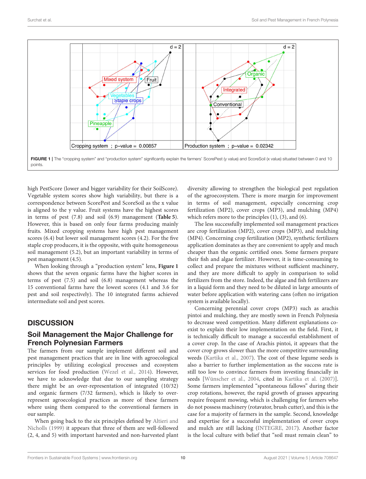

<span id="page-10-0"></span>high PestScore (lower and bigger variability for their SoilScore). Vegetable system scores show high variability, but there is a correspondence between ScorePest and ScoreSoil as the x value is aligned to the y value. Fruit systems have the highest scores in terms of pest (7.8) and soil (6.9) management (**[Table 5](#page-9-0)**). However, this is based on only four farms producing mainly fruits. Mixed cropping systems have high pest management scores (6.4) but lower soil management scores (4.2). For the five staple crop producers, it is the opposite, with quite homogeneous soil management (5.2), but an important variability in terms of pest management (4.5).

When looking through a "production system" lens, **[Figure 1](#page-10-0)** shows that the seven organic farms have the higher scores in terms of pest (7.5) and soil (6.8) management whereas the 15 conventional farms have the lowest scores (4.1 and 3.6 for pest and soil respectively). The 10 integrated farms achieved intermediate soil and pest scores.

# **DISCUSSION**

## Soil Management the Major Challenge for French Polynesian Farmers

The farmers from our sample implement different soil and pest management practices that are in line with agroecological principles by utilizing ecological processes and ecosystem services for food production [\(Wezel et al., 2014\)](#page-15-5). However, we have to acknowledge that due to our sampling strategy there might be an over-representation of integrated (10/32) and organic farmers (7/32 farmers), which is likely to overrepresent agroecological practices as more of these farmers where using them compared to the conventional farmers in our sample.

When going back to the six principles defined by Altieri and Nicholls [\(1999\)](#page-14-11) it appears that three of them are well-followed (2, 4, and 5) with important harvested and non-harvested plant diversity allowing to strengthen the biological pest regulation of the agroecosystem. There is more margin for improvement in terms of soil management, especially concerning crop fertilization (MP2), cover crops (MP3), and mulching (MP4) which refers more to the principles (1), (3), and (6).

The less successfully implemented soil management practices are crop fertilization (MP2), cover crops (MP3), and mulching (MP4). Concerning crop fertilization (MP2), synthetic fertilizers application dominates as they are convenient to apply and much cheaper than the organic certified ones. Some farmers prepare their fish and algae fertilizer. However, it is time-consuming to collect and prepare the mixtures without sufficient machinery, and they are more difficult to apply in comparison to solid fertilizers from the store. Indeed, the algae and fish fertilizers are in a liquid form and they need to be diluted in large amounts of water before application with watering cans (often no irrigation system is available locally).

Concerning perennial cover crops (MP3) such as arachis pintoi and mulching, they are mostly sown in French Polynesia to decrease weed competition. Many different explanations coexist to explain their low implementation on the field. First, it is technically difficult to manage a successful establishment of a cover crop. In the case of Arachis pintoi, it appears that the cover crop grows slower than the more competitive surrounding weeds [\(Kartika et al., 2007\)](#page-14-32). The cost of these legume seeds is also a barrier to further implementation as the success rate is still too low to convince farmers from investing financially in seeds [\[Wünscher et al., 2004,](#page-15-13) cited in [Kartika et al. \(2007\)](#page-14-32)]. Some farmers implemented "spontaneous fallows" during their crop rotations, however, the rapid growth of grasses appearing require frequent mowing, which is challenging for farmers who do not possess machinery (rotavator, brush cutter), and this is the case for a majority of farmers in the sample. Second, knowledge and expertise for a successful implementation of cover crops and mulch are still lacking [\(INTEGRE, 2017\)](#page-14-33). Another factor is the local culture with belief that "soil must remain clean" to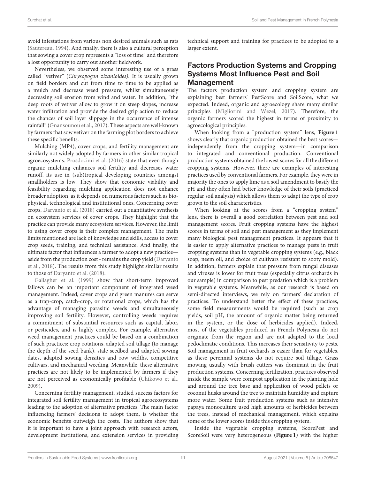avoid infestations from various non desired animals such as rats [\(Sautereau, 1994\)](#page-15-14). And finally, there is also a cultural perception that sowing a cover crop represents a "loss of time" and therefore a lost opportunity to carry out another fieldwork.

Nevertheless, we observed some interesting use of a grass called "vetiver" (Chrysopogon zizanioides). It is usually grown on field borders and cut from time to time to be applied as a mulch and decrease weed pressure, whilst simultaneously decreasing soil erosion from wind and water. In addition, "the deep roots of vetiver allow to grow it on steep slopes, increase water infiltration and provide the desired grip action to reduce the chances of soil layer slippage in the occurrence of intense rainfall" [\(Gnansounou et al., 2017\)](#page-14-34). These aspects are well-known by farmers that sow vetiver on the farming plot borders to achieve these specific benefits.

Mulching (MP4), cover crops, and fertility management are similarly not widely adopted by farmers in other similar tropical agroecosystems. [Prosdocimi et al. \(2016\)](#page-15-11) state that even though organic mulching enhances soil fertility and decreases water runoff, its use in (sub)tropical developing countries amongst smallholders is low. They show that economic viability and feasibility regarding mulching application does not enhance broader adoption, as it depends on numerous factors such as biophysical, technological and institutional ones. Concerning cover crops, [Daryanto et al. \(2018\)](#page-14-26) carried out a quantitative synthesis on ecosystem services of cover crops. They highlight that the practice can provide many ecosystem services. However, the limit to using cover crops is their complex management. The main limits mentioned are lack of knowledge and skills, access to cover crop seeds, training, and technical assistance. And finally, the ultimate factor that influences a farmer to adopt a new practice aside from the production cost - remains the crop yield (Daryanto et al., [2018\)](#page-14-26). The results from this study highlight similar results to those of [Daryanto et al. \(2018\)](#page-14-26).

[Gallagher et al. \(1999\)](#page-14-35) show that short-term improved fallows can be an important component of integrated weed management. Indeed, cover crops and green manures can serve as a trap-crop, catch-crop, or rotational crops, which has the advantage of managing parasitic weeds and simultaneously improving soil fertility. However, controlling weeds requires a commitment of substantial resources such as capital, labor, or pesticides, and is highly complex. For example, alternative weed management practices could be based on a combination of such practices: crop rotations, adapted soil tillage (to manage the depth of the seed bank), stale seedbed and adapted sowing dates, adapted sowing densities and row widths, competitive cultivars, and mechanical weeding. Meanwhile, these alternative practices are not likely to be implemented by farmers if they are not perceived as economically profitable [\(Chikowo et al.,](#page-14-29) [2009\)](#page-14-29).

Concerning fertility management, studied success factors for integrated soil fertility management in tropical agroecosystems leading to the adoption of alternative practices. The main factor influencing farmers' decisions to adopt them, is whether the economic benefits outweigh the costs. The authors show that it is important to have a joint approach with research actors, development institutions, and extension services in providing technical support and training for practices to be adopted to a larger extent.

# Factors Production Systems and Cropping Systems Most Influence Pest and Soil Management

The factors production system and cropping system are explaining best farmers' PestScore and SoilScore, what we expected. Indeed, organic and agroecology share many similar principles [\(Migliorini and Wezel, 2017\)](#page-14-36). Therefore, the organic farmers scored the highest in terms of proximity to agroecological principles.

When looking from a "production system" lens, **[Figure 1](#page-10-0)** shows clearly that organic production obtained the best scores independently from the cropping system—in comparison to integrated and conventional production. Conventional production systems obtained the lowest scores for all the different cropping systems. However, there are examples of interesting practices used by conventional farmers. For example, they were in majority the ones to apply lime as a soil amendment to basify the pH and they often had better knowledge of their soils (practiced regular soil analysis) which allows them to adapt the type of crop grown to the soil characteristics.

When looking at the scores from a "cropping system" lens, there is overall a good correlation between pest and soil management scores. Fruit cropping systems have the highest scores in terms of soil and pest management as they implement many biological pest management practices. It appears that it is easier to apply alternative practices to manage pests in fruit cropping systems than in vegetable cropping systems (e.g., black soap, neem oil, and choice of cultivars resistant to sooty mold). In addition, farmers explain that pressure from fungal diseases and viruses is lower for fruit trees (especially citrus orchards in our sample) in comparison to pest predation which is a problem in vegetable systems. Meanwhile, as our research is based on semi-directed interviews, we rely on farmers' declaration of practices. To understand better the effect of these practices, some field measurements would be required (such as crop yields, soil pH, the amount of organic matter being returned in the system, or the dose of herbicides applied). Indeed, most of the vegetables produced in French Polynesia do not originate from the region and are not adapted to the local pedoclimatic conditions. This increases their sensitivity to pests. Soil management in fruit orchards is easier than for vegetables, as these perennial systems do not require soil tillage. Grass mowing usually with brush cutters was dominant in the fruit production systems. Concerning fertilization, practices observed inside the sample were compost application in the planting hole and around the tree base and application of wood pellets or coconut husks around the tree to maintain humidity and capture more water. Some fruit production systems such as intensive papaya monoculture used high amounts of herbicides between the trees, instead of mechanical management, which explains some of the lower scores inside this cropping system.

Inside the vegetable cropping systems, ScorePest and ScoreSoil were very heterogeneous (**[Figure 1](#page-10-0)**) with the higher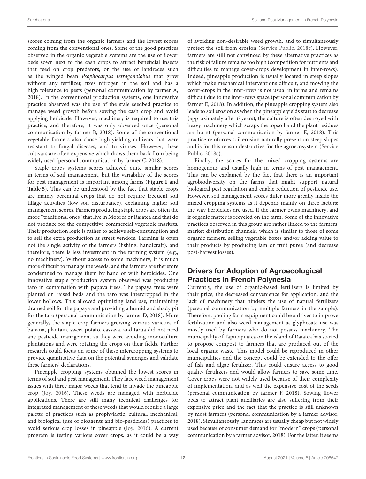scores coming from the organic farmers and the lowest scores coming from the conventional ones. Some of the good practices observed in the organic vegetable systems are the use of flower beds sown next to the cash crops to attract beneficial insects that feed on crop predators, or the use of landraces such as the winged bean Psophocarpus tetragonolobus that grow without any fertilizer, fixes nitrogen in the soil and has a high tolerance to pests (personal communication by farmer A, 2018). In the conventional production systems, one innovative practice observed was the use of the stale seedbed practice to manage weed growth before sowing the cash crop and avoid applying herbicide. However, machinery is required to use this practice, and therefore, it was only observed once (personal communication by farmer B, 2018). Some of the conventional vegetable farmers also chose high-yielding cultivars that were resistant to fungal diseases, and to viruses. However, these cultivars are often expensive which draws them back from being widely used (personal communication by farmer C, 2018).

Staple crops systems scores achieved quite similar scores in terms of soil management, but the variability of the scores for pest management is important among farms (**[Figure 1](#page-10-0)** and **[Table 5](#page-9-0)**). This can be understood by the fact that staple crops are mainly perennial crops that do not require frequent soil tillage activities (low soil disturbance), explaining higher soil management scores. Farmers producing staple crops are often the more "traditional ones" that live in Moorea or Raiatea and that do not produce for the competitive commercial vegetable markets. Their production logic is rather to achieve self-consumption and to sell the extra production as street vendors. Farming is often not the single activity of the farmers (fishing, handicraft), and therefore, there is less investment in the farming system (e.g., no machinery). Without access to some machinery, it is much more difficult to manage the weeds, and the farmers are therefore condemned to manage them by hand or with herbicides. One innovative staple production system observed was producing taro in combination with papaya trees. The papaya trees were planted on raised beds and the taro was intercropped in the lower hollows. This allowed optimizing land use, maintaining drained soil for the papaya and providing a humid and shady pit for the taro (personal communication by farmer D, 2018). More generally, the staple crop farmers growing various varieties of banana, plantain, sweet potato, cassava, and tarua did not need any pesticide management as they were avoiding monoculture plantations and were rotating the crops on their fields. Further research could focus on some of these intercropping systems to provide quantitative data on the potential synergies and validate these farmers' declarations.

Pineapple cropping systems obtained the lowest scores in terms of soil and pest management. They face weed management issues with three major weeds that tend to invade the pineapple crop [\(Joy, 2016\)](#page-14-37). These weeds are managed with herbicide applications. There are still many technical challenges for integrated management of these weeds that would require a large palette of practices such as prophylactic, cultural, mechanical, and biological (use of bioagents and bio-pesticides) practices to avoid serious crop losses in pineapple [\(Joy, 2016\)](#page-14-37). A current program is testing various cover crops, as it could be a way of avoiding non-desirable weed growth, and to simultaneously protect the soil from erosion [\(Service Public, 2018c\)](#page-15-15). However, farmers are still not convinced by these alternative practices as the risk of failure remains too high (competition for nutrients and difficulties to manage cover-crops development in inter-rows). Indeed, pineapple production is usually located in steep slopes which make mechanical interventions difficult, and mowing the cover-crops in the inter-rows is not usual in farms and remains difficult due to the inter-rows space (personal communication by farmer E, 2018). In addition, the pineapple cropping system also leads to soil erosion as when the pineapple yields start to decrease (approximately after 6 years), the culture is often destroyed with heavy machinery which scraps the topsoil and the plant residues are burnt (personal communication by farmer E, 2018). This practice reinforces soil erosion naturally present on steep slopes and is for this reason destructive for the agroecosystem (Service Public, [2018c\)](#page-15-15).

Finally, the scores for the mixed cropping systems are homogenous and usually high in terms of pest management. This can be explained by the fact that there is an important agrobiodiversity on the farms that might support natural biological pest regulation and enable reduction of pesticide use. However, soil management scores differ more greatly inside the mixed cropping systems as it depends mainly on three factors: the way herbicides are used, if the farmer owns machinery, and if organic matter is recycled on the farm. Some of the innovative practices observed in this group are rather linked to the farmers' market distribution channels, which is similar to those of some organic farmers, selling vegetable boxes and/or adding value to their products by producing jam or fruit puree (and decrease post-harvest losses).

# Drivers for Adoption of Agroecological Practices in French Polynesia

Currently, the use of organic-based fertilizers is limited by their price, the decreased convenience for application, and the lack of machinery that hinders the use of natural fertilizers (personal communication by multiple farmers in the sample). Therefore, pooling farm equipment could be a driver to improve fertilization and also weed management as glyphosate use was mostly used by farmers who do not possess machinery. The municipality of Taputapuatea on the island of Raiatea has started to propose compost to farmers that are produced out of the local organic waste. This model could be reproduced in other municipalities and the concept could be extended to the offer of fish and algae fertilizer. This could ensure access to good quality fertilizers and would allow farmers to save some time. Cover crops were not widely used because of their complexity of implementation, and as well the expensive cost of the seeds (personal communication by farmer F, 2018). Sowing flower beds to attract plant auxiliaries are also suffering from their expensive price and the fact that the practice is still unknown by most farmers (personal communication by a farmer advisor, 2018). Simultaneously, landraces are usually cheap but not widely used because of consumer demand for "modern" crops (personal communication by a farmer advisor, 2018). For the latter, it seems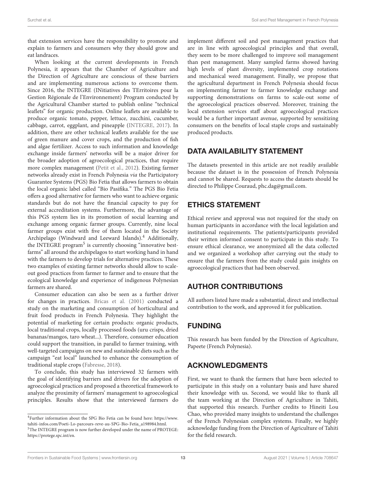that extension services have the responsibility to promote and explain to farmers and consumers why they should grow and eat landraces.

When looking at the current developments in French Polynesia, it appears that the Chamber of Agriculture and the Direction of Agriculture are conscious of these barriers and are implementing numerous actions to overcome them. Since 2016, the INTEGRE (INitiatives des TErritoires pour la Gestion Régionale de l'Environnement) Program conducted by the Agricultural Chamber started to publish online "technical leaflets" for organic production. Online leaflets are available to produce organic tomato, pepper, lettuce, zucchini, cucumber, cabbage, carrot, eggplant, and pineapple [\(INTEGRE, 2017\)](#page-14-33). In addition, there are other technical leaflets available for the use of green manure and cover crops, and the production of fish and algae fertilizer. Access to such information and knowledge exchange inside farmers' networks will be a major driver for the broader adoption of agroecological practices, that require more complex management [\(Petit et al., 2012\)](#page-14-38). Existing farmer networks already exist in French Polynesia via the Participatory Guarantee Systems (PGS) Bio Fetia that allows farmers to obtain the local organic label called "Bio Pasifika." The PGS Bio Fetia offers a good alternative for farmers who want to achieve organic standards but do not have the financial capacity to pay for external accreditation systems. Furthermore, the advantage of this PGS system lies in its promotion of social learning and exchange among organic farmer groups. Currently, nine local farmer groups exist with five of them located in the Society Archipelago (Windward and Leeward Islands).<sup>[4](#page-13-0)</sup> Additionally, the INTEGRE program<sup>[5](#page-13-1)</sup> is currently choosing "innovative bestfarms" all around the archipelagos to start working hand in hand with the farmers to develop trials for alternative practices. These two examples of existing farmer networks should allow to scaleout good practices from farmer to farmer and to ensure that the ecological knowledge and experience of indigenous Polynesian farmers are shared.

Consumer education can also be seen as a further driver for changes in practices. [Bricas et al. \(2001\)](#page-14-39) conducted a study on the marketing and consumption of horticultural and fruit food products in French Polynesia. They highlight the potential of marketing for certain products: organic products, local traditional crops, locally processed foods (uru crisps, dried bananas/mangos, taro wheat...). Therefore, consumer education could support the transition, in parallel to farmer training, with well-targeted campaigns on new and sustainable diets such as the campaign "eat local" launched to enhance the consumption of traditional staple crops [\(Fabresse, 2018\)](#page-14-40).

To conclude, this study has interviewed 32 farmers with the goal of identifying barriers and drivers for the adoption of agroecological practices and proposed a theoretical framework to analyze the proximity of farmers' management to agroecological principles. Results show that the interviewed farmers do implement different soil and pest management practices that are in line with agroecological principles and that overall, they seem to be more challenged to improve soil management than pest management. Many sampled farms showed having high levels of plant diversity, implemented crop rotations and mechanical weed management. Finally, we propose that the agricultural department in French Polynesia should focus on implementing farmer to farmer knowledge exchange and supporting demonstrations on farms to scale-out some of the agroecological practices observed. Moreover, training the local extension services staff about agroecological practices would be a further important avenue, supported by sensitizing consumers on the benefits of local staple crops and sustainably produced products.

# DATA AVAILABILITY STATEMENT

The datasets presented in this article are not readily available because the dataset is in the possession of French Polynesia and cannot be shared. Requests to access the datasets should be directed to Philippe Couraud, [phc.dag@gmail.com.](mailto:phc.dag@gmail.com)

# ETHICS STATEMENT

Ethical review and approval was not required for the study on human participants in accordance with the local legislation and institutional requirements. The patients/participants provided their written informed consent to participate in this study. To ensure ethical clearance, we anonymized all the data collected and we organized a workshop after carrying out the study to ensure that the farmers from the study could gain insights on agroecological practices that had been observed.

# AUTHOR CONTRIBUTIONS

All authors listed have made a substantial, direct and intellectual contribution to the work, and approved it for publication.

# FUNDING

This research has been funded by the Direction of Agriculture, Papeete (French Polynesia).

# ACKNOWLEDGMENTS

First, we want to thank the farmers that have been selected to participate in this study on a voluntary basis and have shared their knowledge with us. Second, we would like to thank all the team working at the Direction of Agriculture in Tahiti, that supported this research. Further credits to Hineiti Lou Chao, who provided many insights to understand the challenges of the French Polynesian complex systems. Finally, we highly acknowledge funding from the Direction of Agriculture of Tahiti for the field research.

<span id="page-13-1"></span><span id="page-13-0"></span><sup>4</sup>Further information about the SPG Bio Fetia can be found here: [https://www.](https://www.tahiti-infos.com/Poeti-Lo-parcours-reve-au-SPG-Bio-Fetia_a198984.html) [tahiti-infos.com/Poeti-Lo-parcours-reve-au-SPG-Bio-Fetia\\_a198984.html.](https://www.tahiti-infos.com/Poeti-Lo-parcours-reve-au-SPG-Bio-Fetia_a198984.html) <sup>5</sup>The INTEGRE program is now further developed under the name of PROTEGE: [https://protege.spc.int/en.](https://protege.spc.int/en)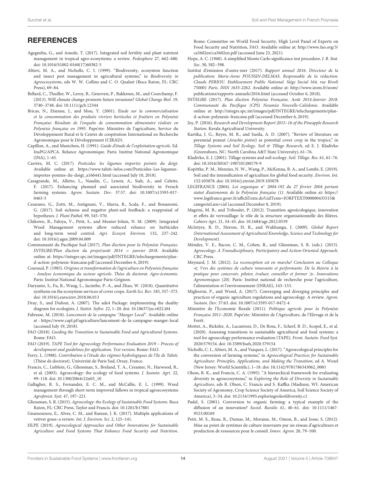## **REFERENCES**

- <span id="page-14-27"></span>Agegnehu, G., and Amede, T. (2017). Integrated soil fertility and plant nutrient management in tropical agro-ecosystems: a review. Pedosphere 27, 662–680. doi: [10.1016/S1002-0160\(17\)60382-5](https://doi.org/10.1016/S1002-0160(17)60382-5)
- <span id="page-14-11"></span>Altieri, M. A., and Nicholls, C. I. (1999). "Biodiversity, ecosystem function and insect pest management in agricultural systems," in Biodiversity in Agroecosystems, eds W. W. Collins and C. O. Qualset (Boca Raton, FL: CRC Press), 69–84.
- <span id="page-14-0"></span>Bellard, C., Thuiller, W., Leroy, B., Genovesi, P., Bakkenes, M., and Courchamp, F. (2013). Will climate change promote future invasions? Global Change Biol. 19, 3740–3748. doi: [10.1111/gcb.12344](https://doi.org/10.1111/gcb.12344)
- <span id="page-14-39"></span>Bricas, N., Etienne, J., and Mou, Y. (2001). Etude sur la commercialisation et la consommation des produits vivriers horticoles et fruitiers en Polynésie Française: Résultats de l'enquête de consommation alimentaire réalisée en Polynésie française en 1995. Pape'ete: Ministère de l'agriculture, Service du Développement Rural et le Centre de coopération International en Recherche Agronomique pour le Développement (CIRAD).
- <span id="page-14-20"></span>Capillon, A., and Manichon, H. (1991). Guide d'étude de l'exploitation agricole. Ed. InaPG/APCA. Relance Agronomique. Paris: Institut National Agronomique (INA), 1–65.
- <span id="page-14-5"></span>Carrère, M. C. (2017). Pesticides: les légumes importés pointés du doigt. Available online at: [https://www.tahiti-infos.com/Pesticides-Les-legumes](https://www.tahiti-infos.com/Pesticides-Les-legumes-importes-pointes-du-doigt_a166441.html)[importes-pointes-du-doigt\\_a166441.html](https://www.tahiti-infos.com/Pesticides-Les-legumes-importes-pointes-du-doigt_a166441.html) (accessed July 10, 2018).
- <span id="page-14-17"></span>Casagrande, M., Alletto, L., Naudin, C., Lenoir, A., Siah, A., and Celette, F. (2017). Enhancing planned and associated biodiversity in French farming systems. Agron. Sustain. Dev[. 37:57. doi: 10.1007/s13593-017-](https://doi.org/10.1007/s13593-017-0463-5) 0463-5
- <span id="page-14-25"></span>Cesarano, G., Zotti, M., Antignani, V., Marra, R., Scala, F., and Bonanomi, G. (2017). Soil sickness and negative plant-soil feedback: a reappraisal of hypotheses. J. Plant Pathol. 99, 545–570.
- <span id="page-14-29"></span>Chikowo, R., Faloya, V., Petit, S., and Munier-Jolain, N. M. (2009). Integrated Weed Management systems allow reduced reliance on herbicides and long-term weed control. Agri. Ecosyst. Environ. 132, 237–242. doi: [10.1016/j.agee.2009.04.009](https://doi.org/10.1016/j.agee.2009.04.009)
- <span id="page-14-1"></span>Communauté du Pacifique Sud (2017). Plan d'action pour la Polynésie Française. INTEGRE/Plan d'action du projet/août 2014 > janvier 2018. Available online at: [https://integre.spc.int/images/pdf/INTEGRE/telechargements/plan](https://integre.spc.int/images/pdf/INTEGRE/telechargements/plan-d-action-polynesie-francaise.pdf)[d-action-polynesie-francaise.pdf](https://integre.spc.int/images/pdf/INTEGRE/telechargements/plan-d-action-polynesie-francaise.pdf) (accessed December 6, 2019).
- <span id="page-14-18"></span>Couraud, P. (1985). Origines et transformation de l'agriculture en Polynésie française - Analyse économique du secteur agricole. Thèse de doctorat. Agro-économie. Paris: Institut National Agronomique Paris-Grignon.
- <span id="page-14-26"></span>Daryanto, S., Fu, B., Wang, L., Jacinthe, P.-A., and Zhao, W. (2018). Quantitative synthesis on the ecosystem services of cover crops. Earth Sci. Rev. 185, 357–373. doi: [10.1016/j.earscirev.2018.06.013](https://doi.org/10.1016/j.earscirev.2018.06.013)
- <span id="page-14-30"></span>Dray, S., and Dufour, A. (2007). The ade4 Package: implementing the duality diagram for ecologists. J. Statist. Softw. 22, 1–20. doi: [10.18637/jss.v022.i04](https://doi.org/10.18637/jss.v022.i04)
- <span id="page-14-40"></span>Fabresse, M. (2018). Lancement de la campagne "Manger Local". Available online at:<https://www.capl.pf/agriculture/lancement-de-la-campagne-manger-local> (accessed July 19, 2018).
- <span id="page-14-21"></span>FAO (2018). Guiding the Transition to Sustainable Food and Agricultural Systems. Rome: FAO.
- <span id="page-14-22"></span>FAO (2019). TAPE Tool for Agroecology Performance Evaluation 2019 – Process of development and guidelines for application. Test version. Rome: FAO.
- <span id="page-14-19"></span>Ferry, L. (1988). Contribution à l'étude des régimes hydrologiques de l'île de Tahiti. (Thèse de doctorat). Université de Paris Sud, Orsay, France.
- <span id="page-14-7"></span>Francis, C., Lieblein, G., Gliessman, S., Breland, T. A., Creamer, N., Harwood, R., et al. (2003). Agroecology: the ecology of food systems. J. Sustain. Agri. 22, 99–118. doi: [10.1300/J064v22n03\\_10](https://doi.org/10.1300/J064v22n03_10)
- <span id="page-14-35"></span>Gallagher, R. S., Fernandez, E. C. M., and McCallie, E. L. (1999). Weed management through short-term improved fallows in tropical agroecosystems Agroforest. Syst. 47, 197–221.
- <span id="page-14-10"></span>Gliessman, S. R. (2015). Agroecology: the Ecology of Sustainable Food Systems. Boca Raton, FL: CRC Press, Taylor and Francis. doi: [10.1201/b17881](https://doi.org/10.1201/b17881)
- <span id="page-14-34"></span>Gnansounou, E., Alves, C. M., and Raman, J. K. (2017). Multiple applications of vetiver grass–a review. Int. J. Environ. Sci. 2, 125–141.
- <span id="page-14-24"></span>HLPE (2019). Agroecological Approaches and Other Innovations for Sustainable Agriculture and Food Systems That Enhance Food Security and Nutrition.

Rome: Committee on World Food Security, High Level Panel of Experts on Food Security and Nutrition, FAO. Available online at: [http://www.fao.org/3/](http://www.fao.org/3/ca5602en/ca5602en.pdf) [ca5602en/ca5602en.pdf](http://www.fao.org/3/ca5602en/ca5602en.pdf) (accessed June 23, 2021).

- <span id="page-14-31"></span>Hope, A. C. (1968). A simplified Monte Carlo significance test procedure. J. R. Stat. Soc. 30, 582–598.
- <span id="page-14-2"></span>Institut d'émission d'outre-mer (2017). Rapport annuel 2016. Directeur de la publication: Marie-Anne POUSSIN-DELMAS. Responsable de la rédaction: Claude PERIOU. Etablissement Public National. Siège Social 164, rue Rivoli 750001 Paris. ISSN 1635-2262. Available online at: [http://www.ieom.fr/ieom/](http://www.ieom.fr/ieom/publications/rapports-annuels/2016.html) [publications/rapports-annuels/2016.html](http://www.ieom.fr/ieom/publications/rapports-annuels/2016.html) (accessed October 6, 2018).
- <span id="page-14-33"></span>INTEGRE (2017). Plan d'action Polynésie Française. Août 2014-Janvier 2018. Communauté du Pacifique (CPS) Nouméa Nouvelle-Calédonie. Available online at: [http://integre.spc.int/images/pdf/INTEGRE/telechargements/plan](http://integre.spc.int/images/pdf/INTEGRE/telechargements/plan-d-action-polynesie-francaise.pdf)[d-action-polynesie-francaise.pdf](http://integre.spc.int/images/pdf/INTEGRE/telechargements/plan-d-action-polynesie-francaise.pdf) (accessed December 6, 2019).
- <span id="page-14-37"></span>Joy, P. (2016). Research and Development Report 2015–16 of the Pineapple Research Station. Kerala Agricultural University.
- <span id="page-14-32"></span>Kartika, J. G., Reyes, M. R., and Susila, A. D. (2007). "Review of literature on perennial peanut (Arachis pintoi) as potential cover crop in the tropics," in Tillage Systems and Soil Ecology. Soil & Tillage Research, ed E. J. Kladivko (Greensboro, NC: North Carolina A&T State University), 61–76.
- <span id="page-14-28"></span>Kladivko, E. J. (2001). Tillage systems and soil ecology. Soil. Tillage. Res. 61, 61–76. doi: [10.1016/S0167-1987\(01\)00179-9](https://doi.org/10.1016/S0167-1987(01)00179-9)
- <span id="page-14-6"></span>Kopittke, P. M., Menzies, N. W., Wang, P., McKenna, B. A., and Lombi, E. (2019). Soil and the intensification of agriculture for global food security. Environ. Int. 132:105078. doi: [10.1016/j.envint.2019.105078](https://doi.org/10.1016/j.envint.2019.105078)
- <span id="page-14-3"></span>LEGIFRANCE (2004). Loi organique n<sup>o</sup> 2004-192 du 27 février 2004 portant statut d'autonomie de la Polynésie française (1). Available online at: [https://](https://www.legifrance.gouv.fr/affichTexte.do?cidTexte=JORFTEXT000000435515&categorieLien=cid) [www.legifrance.gouv.fr/affichTexte.do?cidTexte=JORFTEXT000000435515&](https://www.legifrance.gouv.fr/affichTexte.do?cidTexte=JORFTEXT000000435515&categorieLien=cid) [categorieLien=cid](https://www.legifrance.gouv.fr/affichTexte.do?cidTexte=JORFTEXT000000435515&categorieLien=cid) (accessed December 8, 2019).
- <span id="page-14-14"></span>Magrini, M. B., and Triboulet, P. (2012). Transition agroécologique, innovation et effets de verrouillage: le rôle de la structure organisationnelle des filières. Cahiers Agri. 21, 34–45. doi: [10.1684/agr.2012.0539](https://doi.org/10.1684/agr.2012.0539)
- <span id="page-14-12"></span>McIntyre, B. D., Herren, H. R., and Wakhungu, J. (2009). Global Report (International Assessment of Agricultural Knowledge, Science and Technology for Development).
- <span id="page-14-8"></span>Méndez, V. E., Bacon, C. M., Cohen, R., and Gliessman, S. R. (eds.). (2015). Agroecology: A Transdisciplinary, Participatory and Action-Oriented Approach. CRC Press.
- <span id="page-14-15"></span>Meynard, J. M. (2012). La reconception est en marche! Conclusion au Colloque ≪ Vers des systèmes de culture innovants et performants: De la théorie à la pratique pour concevoir, piloter, évaluer, conseiller et former ≫. Innovations Agronomiques (20). Paris: Institut national de recherche pour l'agriculture, l'alimentation et l'environnement (INRAE), 143–153.
- <span id="page-14-36"></span>Migliorini, P., and Wezel, A. (2017). Converging and diverging principles and practices of organic agriculture regulations and agroecology. A review. Agron. Sustain. Dev. 37:63. doi: [10.1007/s13593-017-0472-4](https://doi.org/10.1007/s13593-017-0472-4)
- <span id="page-14-4"></span>Ministère de l'Economie Rurale (2011). Politique agricole pour la Polynésie Française 2011–2020. Pape'ete: Ministère de l'Agriculture, de l'Elevage et de la Forêt.
- <span id="page-14-23"></span>Mottet, A., Bicksler, A., Lucantoni, D., De Rosa, F., Scherf, B. D., Scopel, E., et al. (2020). Assessing transitions to sustainable agricultural and food systems: a tool for agroecology performance evaluation (TAPE). Front. Sustain. Food Syst. 2020:579154. doi: [10.3389/fsufs.2020.579154](https://doi.org/10.3389/fsufs.2020.579154)
- <span id="page-14-13"></span>Nicholls, C. I., Altieri, M. A., and Vazquez, L. (2017). "Agroecological principles for the conversion of farming systems," in Agroecological Practices for Sustainable Agriculture: Principles, Applications, and Making the Transition, ed A. Wezel (New Jersey: World Scientific), 1–18. doi: [10.1142/9781786343062\\_0001](https://doi.org/10.1142/9781786343062_0001)
- <span id="page-14-9"></span>Olson, R. K., and Francis, C. A. (1995). "A hierarchical framework for evaluating diversity in agroecosystems," in Exploring the Role of Diversity in Sustainable Agriculture, eds R. Olson, C. Francis and S. Kaffka (Madison, WI: American Society of Agronomy, Crop Science Society of America, Soil Science Society of America), 5–34. doi: [10.2134/1995.exploringroleofdiversity.c1](https://doi.org/10.2134/1995.exploringroleofdiversity.c1)
- <span id="page-14-16"></span>Padel, S. (2001). Conversion to organic farming: a typical example of the diffusion of an innovation? Sociol. Ruralis [41, 40–61. doi: 10.1111/1467-](https://doi.org/10.1111/1467-9523.00169) 9523.00169
- <span id="page-14-38"></span>Petit, M. S., Reau, R., Dumas, M., Moraine, M., Omon, B., and Josse, S. (2012). Mise au point de systèmes de culture innovants par un réseau d'agriculteurs et production de ressources pour le conseil. Innov. Agron. 20, 79–100.